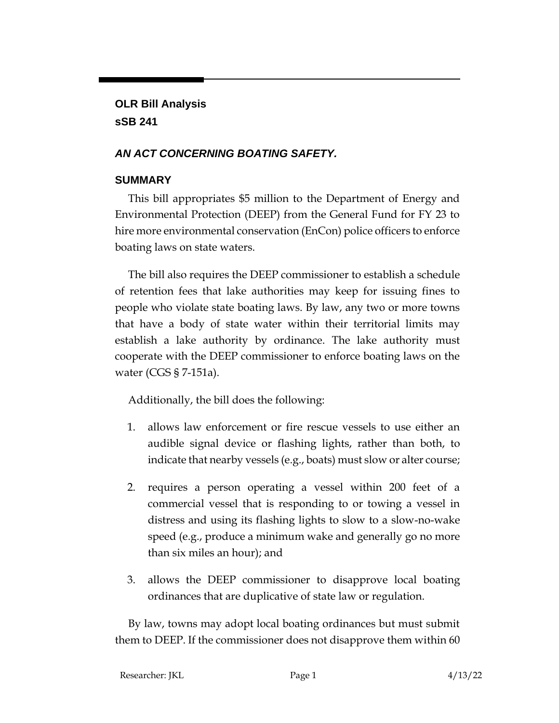**OLR Bill Analysis sSB 241**

## *AN ACT CONCERNING BOATING SAFETY.*

## **SUMMARY**

This bill appropriates \$5 million to the Department of Energy and Environmental Protection (DEEP) from the General Fund for FY 23 to hire more environmental conservation (EnCon) police officers to enforce boating laws on state waters.

The bill also requires the DEEP commissioner to establish a schedule of retention fees that lake authorities may keep for issuing fines to people who violate state boating laws. By law, any two or more towns that have a body of state water within their territorial limits may establish a lake authority by ordinance. The lake authority must cooperate with the DEEP commissioner to enforce boating laws on the water (CGS § 7-151a).

Additionally, the bill does the following:

- 1. allows law enforcement or fire rescue vessels to use either an audible signal device or flashing lights, rather than both, to indicate that nearby vessels (e.g., boats) must slow or alter course;
- 2. requires a person operating a vessel within 200 feet of a commercial vessel that is responding to or towing a vessel in distress and using its flashing lights to slow to a slow-no-wake speed (e.g., produce a minimum wake and generally go no more than six miles an hour); and
- 3. allows the DEEP commissioner to disapprove local boating ordinances that are duplicative of state law or regulation.

By law, towns may adopt local boating ordinances but must submit them to DEEP. If the commissioner does not disapprove them within 60